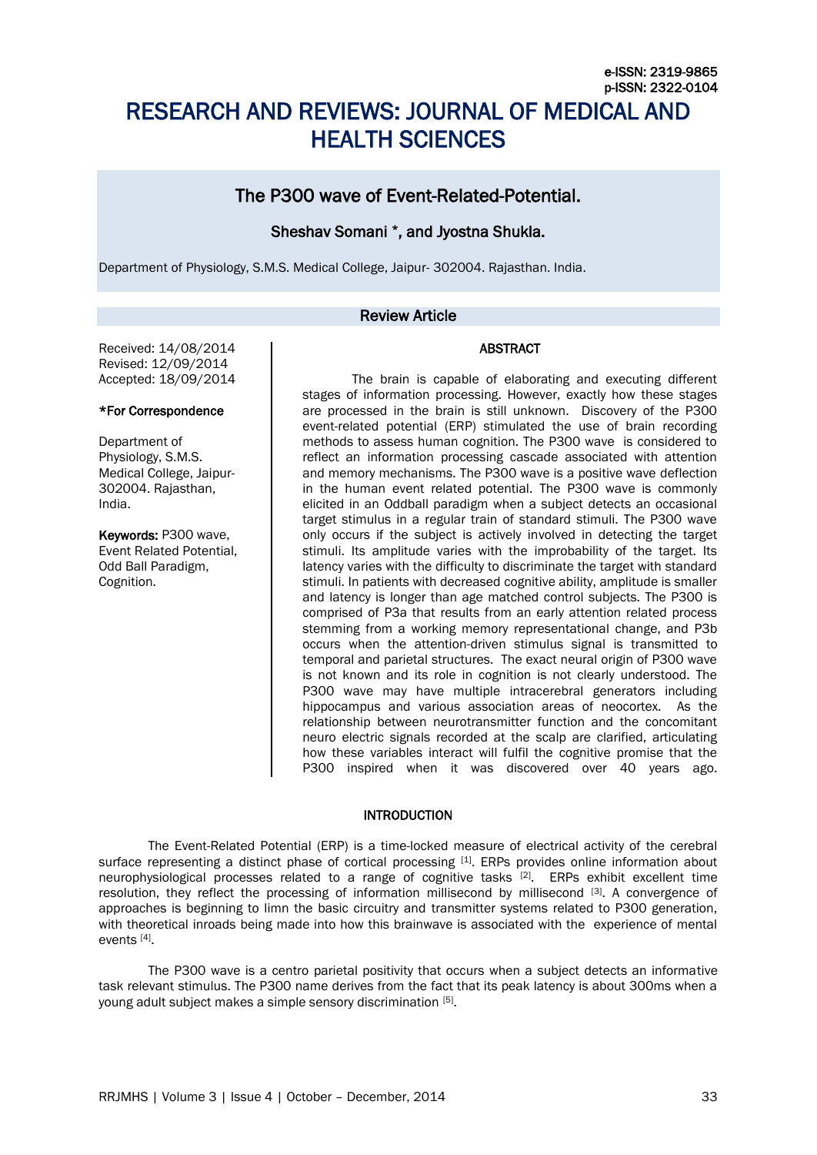# RESEARCH AND REVIEWS: JOURNAL OF MEDICAL AND HEALTH SCIENCES

# The P300 wave of Event-Related-Potential.

# Sheshav Somani \*, and Jyostna Shukla.

Department of Physiology, S.M.S. Medical College, Jaipur- 302004. Rajasthan. India.

# Review Article

### ABSTRACT

Received: 14/08/2014 Revised: 12/09/2014 Accepted: 18/09/2014

#### \*For Correspondence

Department of Physiology, S.M.S. Medical College, Jaipur-302004. Rajasthan, India.

Keywords: P300 wave, Event Related Potential, Odd Ball Paradigm, Cognition.

The brain is capable of elaborating and executing different stages of information processing. However, exactly how these stages are processed in the brain is still unknown. Discovery of the P300 event-related potential (ERP) stimulated the use of brain recording methods to assess human cognition. The P300 wave is considered to reflect an information processing cascade associated with attention and memory mechanisms. The P300 wave is a positive wave deflection in the human event related potential. The P300 wave is commonly elicited in an Oddball paradigm when a subject detects an occasional target stimulus in a regular train of standard stimuli. The P300 wave only occurs if the subject is actively involved in detecting the target stimuli. Its amplitude varies with the improbability of the target. Its latency varies with the difficulty to discriminate the target with standard stimuli. In patients with decreased cognitive ability, amplitude is smaller and latency is longer than age matched control subjects. The P300 is comprised of P3a that results from an early attention related process stemming from a working memory representational change, and P3b occurs when the attention-driven stimulus signal is transmitted to temporal and parietal structures. The exact neural origin of P300 wave is not known and its role in cognition is not clearly understood. The P300 wave may have multiple intracerebral generators including hippocampus and various association areas of neocortex. As the relationship between neurotransmitter function and the concomitant neuro electric signals recorded at the scalp are clarified, articulating how these variables interact will fulfil the cognitive promise that the P300 inspired when it was discovered over 40 years ago.

# INTRODUCTION

The Event-Related Potential (ERP) is a time-locked measure of electrical activity of the cerebral surface representing a distinct phase of cortical processing [1]. ERPs provides online information about neurophysiological processes related to a range of cognitive tasks <sup>[2]</sup>. ERPs exhibit excellent time resolution, they reflect the processing of information millisecond by millisecond [3]. A convergence of approaches is beginning to limn the basic circuitry and transmitter systems related to P300 generation, with theoretical inroads being made into how this brainwave is associated with the experience of mental events [4] .

The P300 wave is a centro parietal positivity that occurs when a subject detects an informative task relevant stimulus. The P300 name derives from the fact that its peak latency is about 300ms when a young adult subject makes a simple sensory discrimination [5].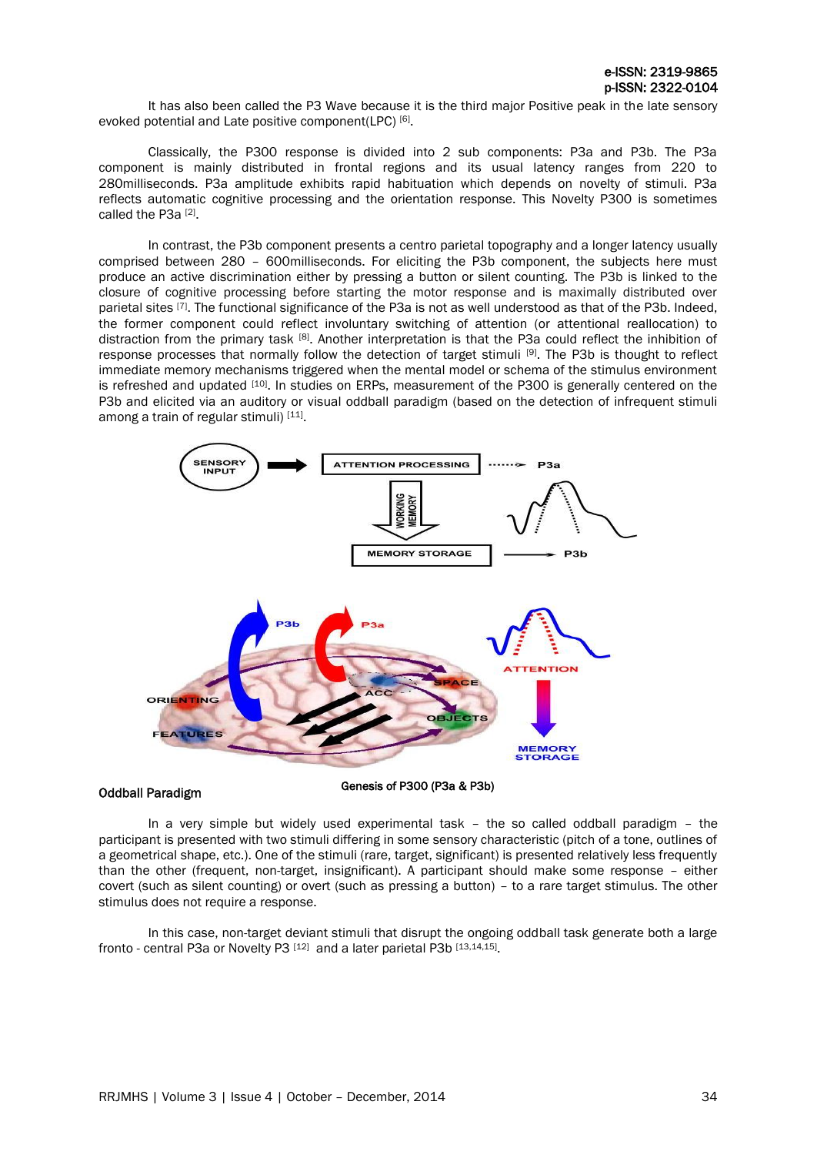It has also been called the P3 Wave because it is the third major Positive peak in the late sensory evoked potential and Late positive component(LPC)<sup>[6]</sup>.

Classically, the P300 response is divided into 2 sub components: P3a and P3b. The P3a component is mainly distributed in frontal regions and its usual latency ranges from 220 to 280milliseconds. P3a amplitude exhibits rapid habituation which depends on novelty of stimuli. P3a reflects automatic cognitive processing and the orientation response. This Novelty P300 is sometimes called the P3a<sup>[2]</sup>.

In contrast, the P3b component presents a centro parietal topography and a longer latency usually comprised between 280 – 600milliseconds. For eliciting the P3b component, the subjects here must produce an active discrimination either by pressing a button or silent counting. The P3b is linked to the closure of cognitive processing before starting the motor response and is maximally distributed over parietal sites [7]. The functional significance of the P3a is not as well understood as that of the P3b. Indeed, the former component could reflect involuntary switching of attention (or attentional reallocation) to distraction from the primary task [8]. Another interpretation is that the P3a could reflect the inhibition of response processes that normally follow the detection of target stimuli [9]. The P3b is thought to reflect immediate memory mechanisms triggered when the mental model or schema of the stimulus environment is refreshed and updated [10]. In studies on ERPs, measurement of the P300 is generally centered on the P3b and elicited via an auditory or visual oddball paradigm (based on the detection of infrequent stimuli among a train of regular stimuli) [11].



#### Oddball Paradigm

Genesis of P300 (P3a & P3b)

In a very simple but widely used experimental task – the so called oddball paradigm – the participant is presented with two stimuli differing in some sensory characteristic (pitch of a tone, outlines of a geometrical shape, etc.). One of the stimuli (rare, target, significant) is presented relatively less frequently than the other (frequent, non-target, insignificant). A participant should make some response – either covert (such as silent counting) or overt (such as pressing a button) – to a rare target stimulus. The other stimulus does not require a response.

In this case, non-target deviant stimuli that disrupt the ongoing oddball task generate both a large fronto - central P3a or Novelty P3<sup>[12]</sup> and a later parietal P3b<sup>[13,14,15]</sup>.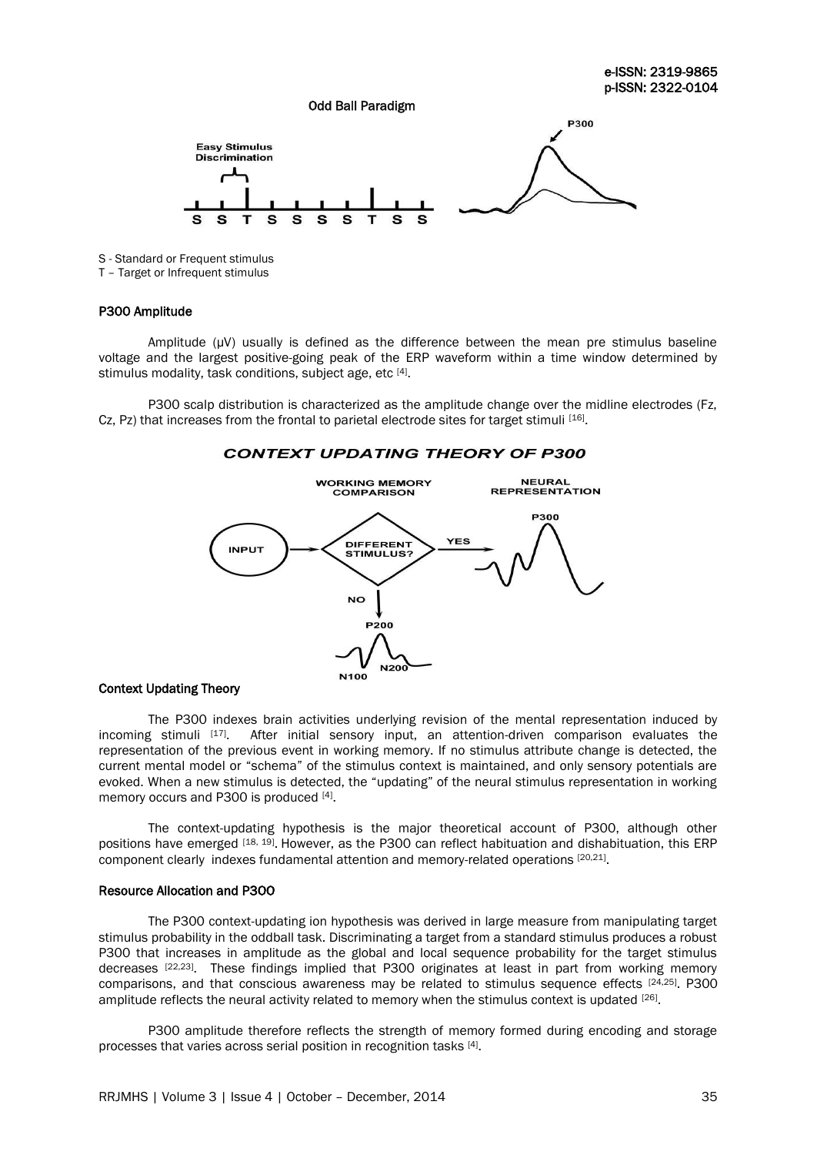

S - Standard or Frequent stimulus T – Target or Infrequent stimulus

# P300 Amplitude

Amplitude (μV) usually is defined as the difference between the mean pre stimulus baseline voltage and the largest positive-going peak of the ERP waveform within a time window determined by stimulus modality, task conditions, subject age, etc [4].

P300 scalp distribution is characterized as the amplitude change over the midline electrodes (Fz, Cz, Pz) that increases from the frontal to parietal electrode sites for target stimuli [16].

# **CONTEXT UPDATING THEORY OF P300**



#### Context Updating Theory

The P300 indexes brain activities underlying revision of the mental representation induced by incoming stimuli [17] . After initial sensory input, an attention-driven comparison evaluates the representation of the previous event in working memory. If no stimulus attribute change is detected, the current mental model or "schema" of the stimulus context is maintained, and only sensory potentials are evoked. When a new stimulus is detected, the "updating" of the neural stimulus representation in working memory occurs and P300 is produced [4].

The context-updating hypothesis is the major theoretical account of P300, although other positions have emerged [18, 19]. However, as the P300 can reflect habituation and dishabituation, this ERP component clearly indexes fundamental attention and memory-related operations [20,21].

#### Resource Allocation and P3OO

The P300 context-updating ion hypothesis was derived in large measure from manipulating target stimulus probability in the oddball task. Discriminating a target from a standard stimulus produces a robust P300 that increases in amplitude as the global and local sequence probability for the target stimulus decreases [22,23]. These findings implied that P300 originates at least in part from working memory comparisons, and that conscious awareness may be related to stimulus sequence effects [24,25] . P300 amplitude reflects the neural activity related to memory when the stimulus context is updated [26].

P300 amplitude therefore reflects the strength of memory formed during encoding and storage processes that varies across serial position in recognition tasks [4].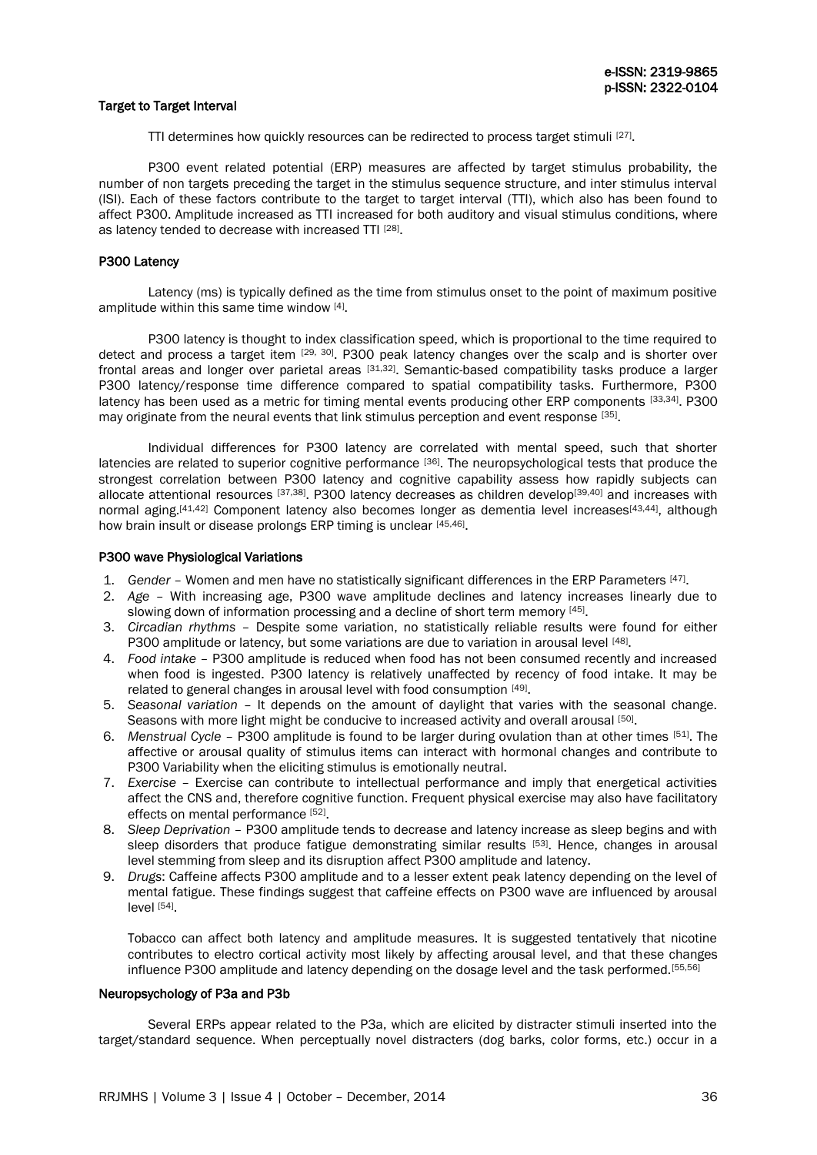# Target to Target Interval

TTI determines how quickly resources can be redirected to process target stimuli [27].

P300 event related potential (ERP) measures are affected by target stimulus probability, the number of non targets preceding the target in the stimulus sequence structure, and inter stimulus interval (ISI). Each of these factors contribute to the target to target interval (TTI), which also has been found to affect P300. Amplitude increased as TTI increased for both auditory and visual stimulus conditions, where as latency tended to decrease with increased TTI [28].

## P300 Latency

Latency (ms) is typically defined as the time from stimulus onset to the point of maximum positive amplitude within this same time window [4].

P300 latency is thought to index classification speed, which is proportional to the time required to detect and process a target item [29, 30]. P300 peak latency changes over the scalp and is shorter over frontal areas and longer over parietal areas [31,32]. Semantic-based compatibility tasks produce a larger P300 latency/response time difference compared to spatial compatibility tasks. Furthermore, P300 latency has been used as a metric for timing mental events producing other ERP components [33,34]. P300 may originate from the neural events that link stimulus perception and event response [35].

Individual differences for P300 latency are correlated with mental speed, such that shorter latencies are related to superior cognitive performance [36]. The neuropsychological tests that produce the strongest correlation between P300 latency and cognitive capability assess how rapidly subjects can allocate attentional resources [37,38]. P300 latency decreases as children develop<sup>[39,40]</sup> and increases with normal aging.<sup>[41,42]</sup> Component latency also becomes longer as dementia level increases<sup>[43,44]</sup>, although how brain insult or disease prolongs ERP timing is unclear [45,46].

# P300 wave Physiological Variations

- 1. *Gender* Women and men have no statistically significant differences in the ERP Parameters [47] .
- 2. *Age* With increasing age, P300 wave amplitude declines and latency increases linearly due to slowing down of information processing and a decline of short term memory [45].
- 3. *Circadian rhythms* Despite some variation, no statistically reliable results were found for either P300 amplitude or latency, but some variations are due to variation in arousal level [48].
- 4. *Food intake* P300 amplitude is reduced when food has not been consumed recently and increased when food is ingested. P300 latency is relatively unaffected by recency of food intake. It may be related to general changes in arousal level with food consumption [49].
- 5. *Seasonal variation* It depends on the amount of daylight that varies with the seasonal change. Seasons with more light might be conducive to increased activity and overall arousal [50].
- 6. *Menstrual Cycle* P300 amplitude is found to be larger during ovulation than at other times [51]. The affective or arousal quality of stimulus items can interact with hormonal changes and contribute to P300 Variability when the eliciting stimulus is emotionally neutral.
- 7. *Exercise* Exercise can contribute to intellectual performance and imply that energetical activities affect the CNS and, therefore cognitive function. Frequent physical exercise may also have facilitatory effects on mental performance [52].
- 8. *Sleep Deprivation* P300 amplitude tends to decrease and latency increase as sleep begins and with sleep disorders that produce fatigue demonstrating similar results [53]. Hence, changes in arousal level stemming from sleep and its disruption affect P300 amplitude and latency.
- 9. *Drugs*: Caffeine affects P300 amplitude and to a lesser extent peak latency depending on the level of mental fatigue. These findings suggest that caffeine effects on P300 wave are influenced by arousal level [54].

Tobacco can affect both latency and amplitude measures. It is suggested tentatively that nicotine contributes to electro cortical activity most likely by affecting arousal level, and that these changes influence P300 amplitude and latency depending on the dosage level and the task performed.[55,56]

#### Neuropsychology of P3a and P3b

Several ERPs appear related to the P3a, which are elicited by distracter stimuli inserted into the target/standard sequence. When perceptually novel distracters (dog barks, color forms, etc.) occur in a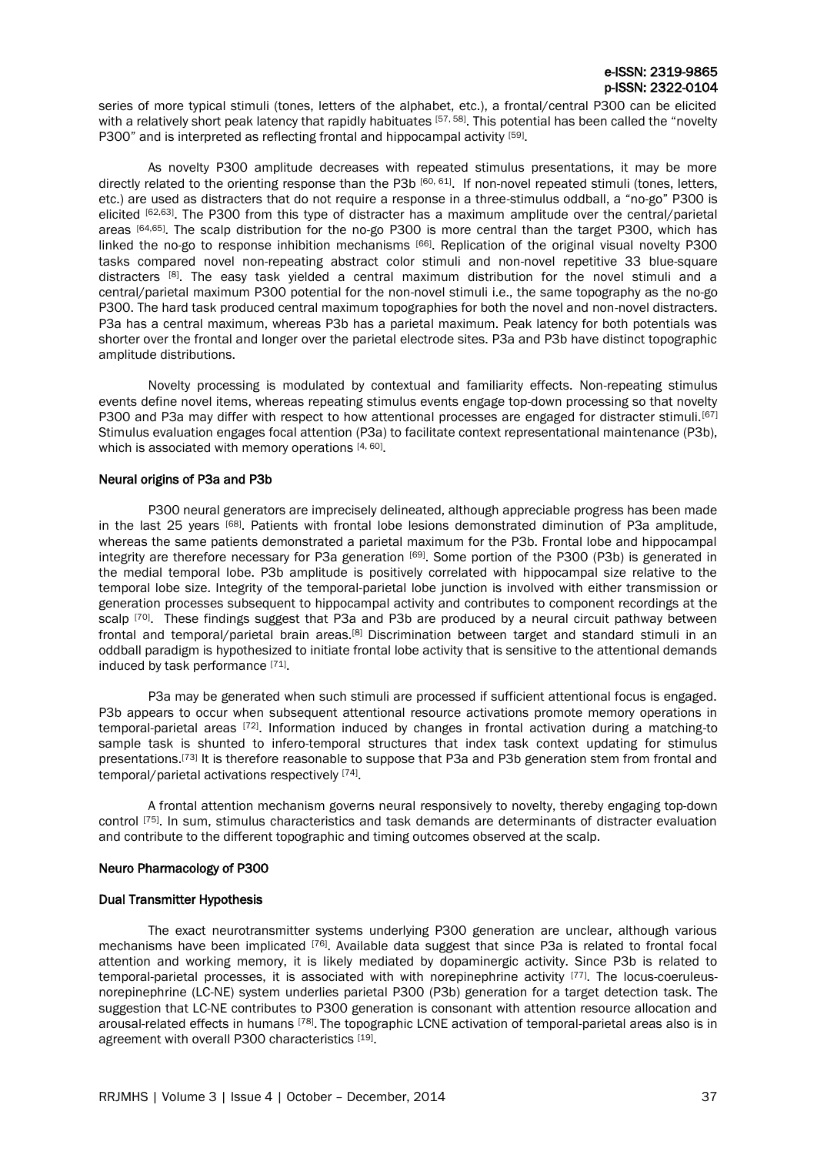series of more typical stimuli (tones, letters of the alphabet, etc.), a frontal/central P300 can be elicited with a relatively short peak latency that rapidly habituates <sup>[57, 58]</sup>. This potential has been called the "novelty P300" and is interpreted as reflecting frontal and hippocampal activity [59].

As novelty P300 amplitude decreases with repeated stimulus presentations, it may be more directly related to the orienting response than the P3b [60, 61]. If non-novel repeated stimuli (tones, letters, etc.) are used as distracters that do not require a response in a three-stimulus oddball, a "no-go" P300 is elicited [62,63]. The P300 from this type of distracter has a maximum amplitude over the central/parietal areas [64,65]. The scalp distribution for the no-go P300 is more central than the target P300, which has linked the no-go to response inhibition mechanisms [66]. Replication of the original visual novelty P300 tasks compared novel non-repeating abstract color stimuli and non-novel repetitive 33 blue-square distracters <sup>[8]</sup>. The easy task yielded a central maximum distribution for the novel stimuli and a central/parietal maximum P300 potential for the non-novel stimuli i.e., the same topography as the no-go P300. The hard task produced central maximum topographies for both the novel and non-novel distracters. P3a has a central maximum, whereas P3b has a parietal maximum. Peak latency for both potentials was shorter over the frontal and longer over the parietal electrode sites. P3a and P3b have distinct topographic amplitude distributions.

Novelty processing is modulated by contextual and familiarity effects. Non-repeating stimulus events define novel items, whereas repeating stimulus events engage top-down processing so that novelty P300 and P3a may differ with respect to how attentional processes are engaged for distracter stimuli.<sup>[67]</sup> Stimulus evaluation engages focal attention (P3a) to facilitate context representational maintenance (P3b), which is associated with memory operations [4, 60].

# Neural origins of P3a and P3b

P300 neural generators are imprecisely delineated, although appreciable progress has been made in the last 25 years <sup>[68]</sup>. Patients with frontal lobe lesions demonstrated diminution of P3a amplitude, whereas the same patients demonstrated a parietal maximum for the P3b. Frontal lobe and hippocampal integrity are therefore necessary for P3a generation [69]. Some portion of the P300 (P3b) is generated in the medial temporal lobe. P3b amplitude is positively correlated with hippocampal size relative to the temporal lobe size. Integrity of the temporal-parietal lobe junction is involved with either transmission or generation processes subsequent to hippocampal activity and contributes to component recordings at the scalp <a>[70]</a>. These findings suggest that P3a and P3b are produced by a neural circuit pathway between frontal and temporal/parietal brain areas.[8] Discrimination between target and standard stimuli in an oddball paradigm is hypothesized to initiate frontal lobe activity that is sensitive to the attentional demands induced by task performance [71].

P3a may be generated when such stimuli are processed if sufficient attentional focus is engaged. P3b appears to occur when subsequent attentional resource activations promote memory operations in temporal-parietal areas [72]. Information induced by changes in frontal activation during a matching-to sample task is shunted to infero-temporal structures that index task context updating for stimulus presentations.[73] It is therefore reasonable to suppose that P3a and P3b generation stem from frontal and temporal/parietal activations respectively [74].

A frontal attention mechanism governs neural responsively to novelty, thereby engaging top-down control [75] . In sum, stimulus characteristics and task demands are determinants of distracter evaluation and contribute to the different topographic and timing outcomes observed at the scalp.

#### Neuro Pharmacology of P300

#### Dual Transmitter Hypothesis

The exact neurotransmitter systems underlying P300 generation are unclear, although various mechanisms have been implicated <a>[76]</a>. Available data suggest that since P3a is related to frontal focal attention and working memory, it is likely mediated by dopaminergic activity. Since P3b is related to temporal-parietal processes, it is associated with with norepinephrine activity  $[77]$ . The locus-coeruleusnorepinephrine (LC-NE) system underlies parietal P300 (P3b) generation for a target detection task. The suggestion that LC-NE contributes to P300 generation is consonant with attention resource allocation and arousal-related effects in humans [78]. The topographic LCNE activation of temporal-parietal areas also is in agreement with overall P300 characteristics [19].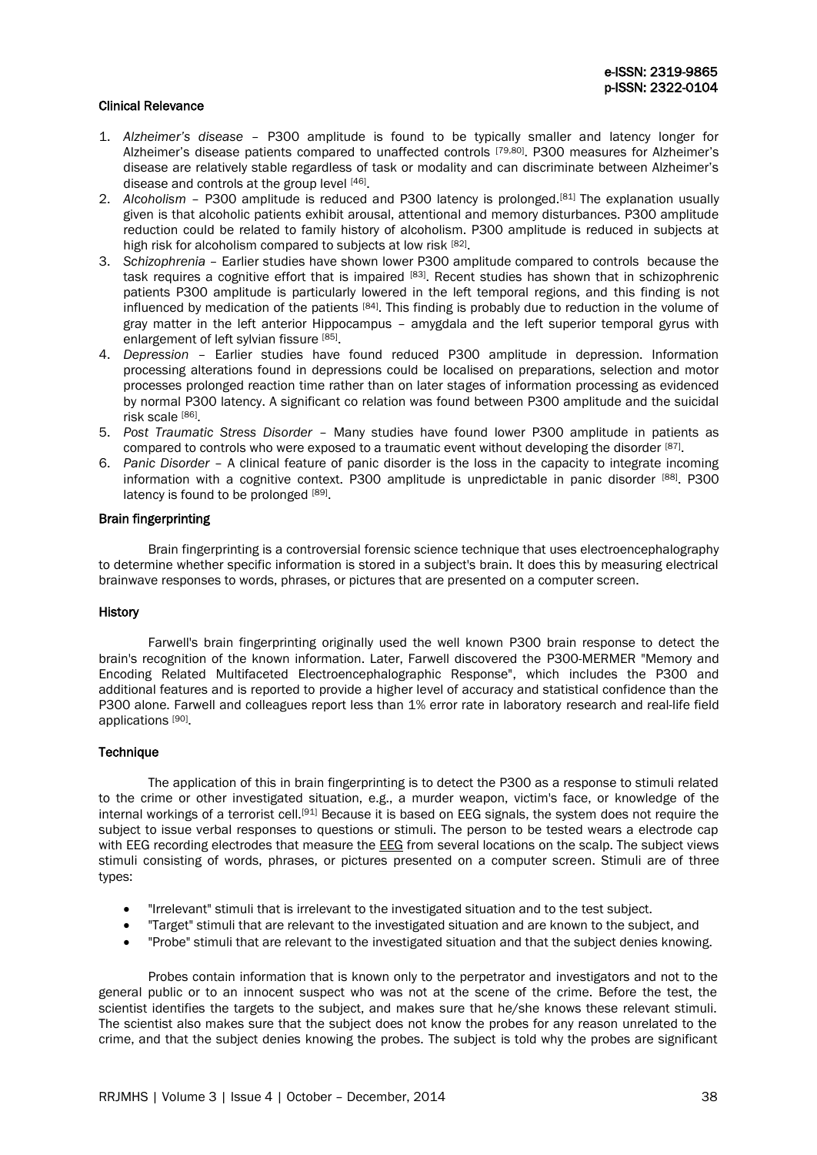### Clinical Relevance

- 1. *Alzheimer's disease*  P300 amplitude is found to be typically smaller and latency longer for Alzheimer's disease patients compared to unaffected controls [79,80]. P300 measures for Alzheimer's disease are relatively stable regardless of task or modality and can discriminate between Alzheimer's disease and controls at the group level [46].
- 2. *Alcoholism*  P300 amplitude is reduced and P300 latency is prolonged.[81] The explanation usually given is that alcoholic patients exhibit arousal, attentional and memory disturbances. P300 amplitude reduction could be related to family history of alcoholism. P300 amplitude is reduced in subjects at high risk for alcoholism compared to subjects at low risk [82].
- 3. *Schizophrenia* Earlier studies have shown lower P300 amplitude compared to controls because the task requires a cognitive effort that is impaired [83]. Recent studies has shown that in schizophrenic patients P300 amplitude is particularly lowered in the left temporal regions, and this finding is not influenced by medication of the patients [84]. This finding is probably due to reduction in the volume of gray matter in the left anterior Hippocampus – amygdala and the left superior temporal gyrus with enlargement of left sylvian fissure [85].
- 4. *Depression*  Earlier studies have found reduced P300 amplitude in depression. Information processing alterations found in depressions could be localised on preparations, selection and motor processes prolonged reaction time rather than on later stages of information processing as evidenced by normal P300 latency. A significant co relation was found between P300 amplitude and the suicidal risk scale [86].
- 5. *Post Traumatic Stress Disorder* Many studies have found lower P300 amplitude in patients as compared to controls who were exposed to a traumatic event without developing the disorder [87].
- 6. *Panic Disorder* A clinical feature of panic disorder is the loss in the capacity to integrate incoming information with a cognitive context. P300 amplitude is unpredictable in panic disorder [88]. P300 latency is found to be prolonged [89].

### Brain fingerprinting

Brain fingerprinting is a controversial [forensic science](http://en.wikipedia.org/wiki/Forensic_science) technique that uses [electroencephalography](http://en.wikipedia.org/wiki/Electroencephalography) to determine whether specific information is stored in a subject's brain. It does this by measuring electrical [brainwave](http://en.wikipedia.org/wiki/Neural_oscillation) responses to words, phrases, or pictures that are presented on a computer screen.

#### **History**

Farwell's brain fingerprinting originally used the well known [P300](http://en.wikipedia.org/wiki/P300_%28Neuroscience%29) brain response to detect the brain's recognition of the known information. Later, Farwell discovered the P300-MERMER "Memory and Encoding Related Multifaceted Electroencephalographic Response", which includes the P300 and additional features and is reported to provide a higher level of accuracy and statistical confidence than the P300 alone. Farwell and colleagues report less than 1% error rate in laboratory research and real-life field applications<sup>[90]</sup>.

#### **Technique**

The application of this in brain fingerprinting is to detect the P300 as a response to stimuli related to the crime or other investigated situation, e.g., a murder weapon, victim's face, or knowledge of the internal workings of a terrorist cell.[91] Because it is based on EEG signals, the system does not require the subject to issue verbal responses to questions or stimuli. The person to be tested wears a electrode cap with [EEG](http://en.wikipedia.org/wiki/Electroencephalography) recording electrodes that measure the **EEG** from several locations on the scalp. The subject views stimuli consisting of words, phrases, or pictures presented on a computer screen. Stimuli are of three types:

- "Irrelevant" stimuli that is irrelevant to the investigated situation and to the test subject.
- "Target" stimuli that are relevant to the investigated situation and are known to the subject, and
- "Probe" stimuli that are relevant to the investigated situation and that the subject denies knowing.

Probes contain information that is known only to the perpetrator and investigators and not to the general public or to an innocent suspect who was not at the scene of the crime. Before the test, the scientist identifies the targets to the subject, and makes sure that he/she knows these relevant stimuli. The scientist also makes sure that the subject does not know the probes for any reason unrelated to the crime, and that the subject denies knowing the probes. The subject is told why the probes are significant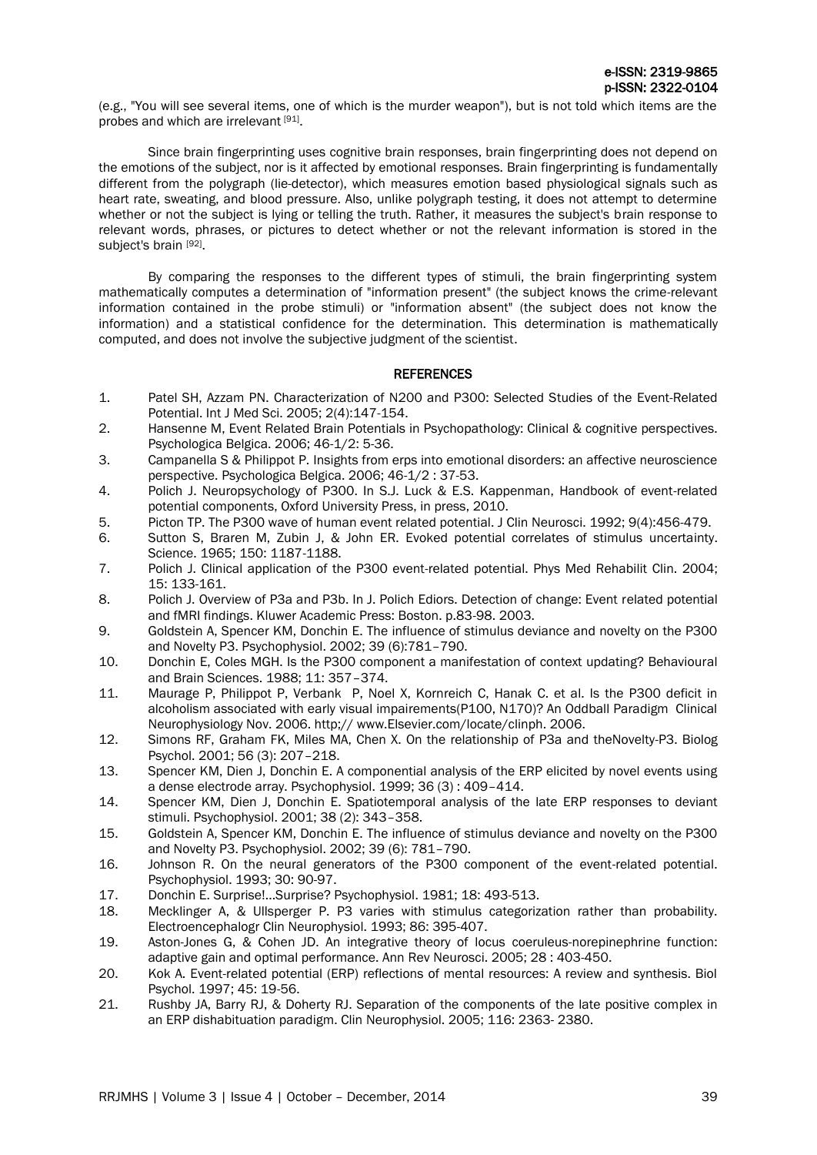(e.g., "You will see several items, one of which is the murder weapon"), but is not told which items are the probes and which are irrelevant [91].

Since brain fingerprinting uses cognitive brain responses, brain fingerprinting does not depend on the emotions of the subject, nor is it affected by emotional responses. Brain fingerprinting is fundamentally different from the [polygraph](http://en.wikipedia.org/wiki/Polygraph) (lie-detector), which measures emotion based physiological signals such as heart rate, sweating, and blood pressure. Also, unlike polygraph testing, it does not attempt to determine whether or not the subject is lying or telling the truth. Rather, it measures the subject's brain response to relevant words, phrases, or pictures to detect whether or not the relevant information is stored in the subject's brain [92].

By comparing the responses to the different types of stimuli, the brain fingerprinting system mathematically computes a determination of "information present" (the subject knows the crime-relevant information contained in the probe stimuli) or "information absent" (the subject does not know the information) and a statistical confidence for the determination. This determination is mathematically computed, and does not involve the subjective judgment of the scientist.

# **REFERENCES**

- 1. Patel SH, Azzam PN. Characterization of N200 and P300: Selected Studies of the Event-Related Potential. Int J Med Sci. 2005; 2(4):147-154.
- 2. Hansenne M, Event Related Brain Potentials in Psychopathology: Clinical & cognitive perspectives. Psychologica Belgica. 2006; 46-1/2: 5-36.
- 3. Campanella S & Philippot P. Insights from erps into emotional disorders: an affective neuroscience perspective. Psychologica Belgica. 2006; 46-1/2 : 37-53.
- 4. Polich J. Neuropsychology of P300. In S.J. Luck & E.S. Kappenman, Handbook of event-related potential components, Oxford University Press, in press, 2010.
- 5. Picton TP. The P300 wave of human event related potential. J Clin Neurosci. 1992; 9(4):456-479.
- 6. Sutton S, Braren M, Zubin J, & John ER. Evoked potential correlates of stimulus uncertainty. Science. 1965; 150: 1187-1188.
- 7. Polich J. Clinical application of the P300 event-related potential. Phys Med Rehabilit Clin. 2004; 15: 133-161.
- 8. Polich J. Overview of P3a and P3b. In J. Polich Ediors. Detection of change: Event related potential and fMRI findings. Kluwer Academic Press: Boston. p.83-98. 2003.
- 9. Goldstein A, Spencer KM, Donchin E. The influence of stimulus deviance and novelty on the P300 and Novelty P3. Psychophysiol. 2002; 39 (6):781–790.
- 10. Donchin E, Coles MGH. Is the P300 component a manifestation of context updating? Behavioural and Brain Sciences. 1988; 11: 357–374.
- 11. Maurage P, Philippot P, Verbank P, Noel X, Kornreich C, Hanak C. et al. Is the P300 deficit in alcoholism associated with early visual impairements(P100, N170)? An Oddball Paradigm Clinical Neurophysiology Nov. 2006. http;// www.Elsevier.com/locate/clinph. 2006.
- 12. Simons RF, Graham FK, Miles MA, Chen X. On the relationship of P3a and theNovelty-P3. Biolog Psychol. 2001; 56 (3): 207–218.
- 13. Spencer KM, Dien J, Donchin E. A componential analysis of the ERP elicited by novel events using a dense electrode array. Psychophysiol. 1999; 36 (3) : 409–414.
- 14. Spencer KM, Dien J, Donchin E. Spatiotemporal analysis of the late ERP responses to deviant stimuli. Psychophysiol. 2001; 38 (2): 343–358.
- 15. Goldstein A, Spencer KM, Donchin E. The influence of stimulus deviance and novelty on the P300 and Novelty P3. Psychophysiol. 2002; 39 (6): 781–790.
- 16. Johnson R. On the neural generators of the P300 component of the event-related potential. Psychophysiol. 1993; 30: 90-97.
- 17. Donchin E. Surprise!...Surprise? Psychophysiol. 1981; 18: 493-513.
- 18. Mecklinger A, & Ullsperger P. P3 varies with stimulus categorization rather than probability. Electroencephalogr Clin Neurophysiol. 1993; 86: 395-407.
- 19. Aston-Jones G, & Cohen JD. An integrative theory of locus coeruleus-norepinephrine function: adaptive gain and optimal performance. Ann Rev Neurosci. 2005; 28 : 403-450.
- 20. Kok A. Event-related potential (ERP) reflections of mental resources: A review and synthesis. Biol Psychol. 1997; 45: 19-56.
- 21. Rushby JA, Barry RJ, & Doherty RJ. Separation of the components of the late positive complex in an ERP dishabituation paradigm. Clin Neurophysiol. 2005; 116: 2363- 2380.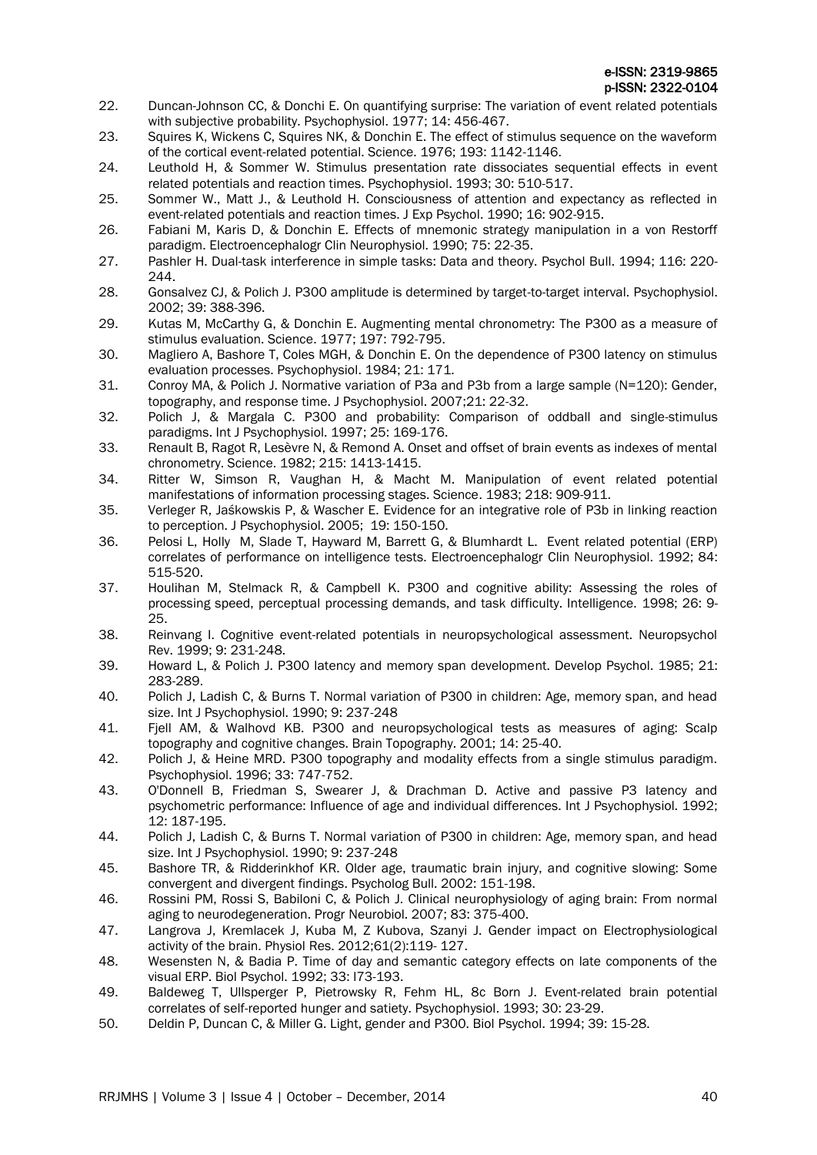- 22. Duncan-Johnson CC, & Donchi E. On quantifying surprise: The variation of event related potentials with subjective probability. Psychophysiol. 1977; 14: 456-467.
- 23. Squires K, Wickens C, Squires NK, & Donchin E. The effect of stimulus sequence on the waveform of the cortical event-related potential. Science. 1976; 193: 1142-1146.
- 24. Leuthold H, & Sommer W. Stimulus presentation rate dissociates sequential effects in event related potentials and reaction times. Psychophysiol. 1993; 30: 510-517.
- 25. Sommer W., Matt J., & Leuthold H. Consciousness of attention and expectancy as reflected in event-related potentials and reaction times. J Exp Psychol. 1990; 16: 902-915.
- 26. Fabiani M, Karis D, & Donchin E. Effects of mnemonic strategy manipulation in a von Restorff paradigm. Electroencephalogr Clin Neurophysiol. 1990; 75: 22-35.
- 27. Pashler H. Dual-task interference in simple tasks: Data and theory. Psychol Bull. 1994; 116: 220- 244
- 28. Gonsalvez CJ, & Polich J. P300 amplitude is determined by target-to-target interval. Psychophysiol. 2002; 39: 388-396.
- 29. Kutas M, McCarthy G, & Donchin E. Augmenting mental chronometry: The P300 as a measure of stimulus evaluation. Science. 1977; 197: 792-795.
- 30. Magliero A, Bashore T, Coles MGH, & Donchin E. On the dependence of P300 latency on stimulus evaluation processes. Psychophysiol. 1984; 21: 171.
- 31. Conroy MA, & Polich J. Normative variation of P3a and P3b from a large sample (N=120): Gender, topography, and response time. J Psychophysiol. 2007;21: 22-32.
- 32. Polich J, & Margala C. P300 and probability: Comparison of oddball and single-stimulus paradigms. Int J Psychophysiol. 1997; 25: 169-176.
- 33. Renault B, Ragot R, Lesèvre N, & Remond A. Onset and offset of brain events as indexes of mental chronometry. Science. 1982; 215: 1413-1415.
- 34. Ritter W, Simson R, Vaughan H, & Macht M. Manipulation of event related potential manifestations of information processing stages. Science. 1983; 218: 909-911.
- 35. Verleger R, Jaśkowskis P, & Wascher E. Evidence for an integrative role of P3b in linking reaction to perception. J Psychophysiol. 2005; 19: 150-150.
- 36. Pelosi L, Holly M, Slade T, Hayward M, Barrett G, & Blumhardt L. Event related potential (ERP) correlates of performance on intelligence tests. Electroencephalogr Clin Neurophysiol. 1992; 84: 515-520.
- 37. Houlihan M, Stelmack R, & Campbell K. P300 and cognitive ability: Assessing the roles of processing speed, perceptual processing demands, and task difficulty. Intelligence. 1998; 26: 9- 25.
- 38. Reinvang I. Cognitive event-related potentials in neuropsychological assessment. Neuropsychol Rev. 1999; 9: 231-248.
- 39. Howard L, & Polich J. P300 latency and memory span development. Develop Psychol. 1985; 21: 283-289.
- 40. Polich J, Ladish C, & Burns T. Normal variation of P300 in children: Age, memory span, and head size. Int J Psychophysiol. 1990; 9: 237-248
- 41. Fjell AM, & Walhovd KB. P300 and neuropsychological tests as measures of aging: Scalp topography and cognitive changes. Brain Topography. 2001; 14: 25-40.
- 42. Polich J, & Heine MRD. P300 topography and modality effects from a single stimulus paradigm. Psychophysiol. 1996; 33: 747-752.
- 43. O'Donnell B, Friedman S, Swearer J, & Drachman D. Active and passive P3 latency and psychometric performance: Influence of age and individual differences. Int J Psychophysiol. 1992; 12: 187-195.
- 44. Polich J, Ladish C, & Burns T. Normal variation of P300 in children: Age, memory span, and head size. Int J Psychophysiol. 1990; 9: 237-248
- 45. Bashore TR, & Ridderinkhof KR. Older age, traumatic brain injury, and cognitive slowing: Some convergent and divergent findings. Psycholog Bull. 2002: 151-198.
- 46. Rossini PM, Rossi S, Babiloni C, & Polich J. Clinical neurophysiology of aging brain: From normal aging to neurodegeneration. Progr Neurobiol. 2007; 83: 375-400.
- 47. Langrova J, Kremlacek J, Kuba M, Z Kubova, Szanyi J. Gender impact on Electrophysiological activity of the brain. Physiol Res. 2012;61(2):119- 127.
- 48. Wesensten N, & Badia P. Time of day and semantic category effects on late components of the visual ERP. Biol Psychol. 1992; 33: l73-193.
- 49. Baldeweg T, Ullsperger P, Pietrowsky R, Fehm HL, 8c Born J. Event-related brain potential correlates of self-reported hunger and satiety. Psychophysiol. 1993; 30: 23-29.
- 50. Deldin P, Duncan C, & Miller G. Light, gender and P300. Biol Psychol. 1994; 39: 15-28.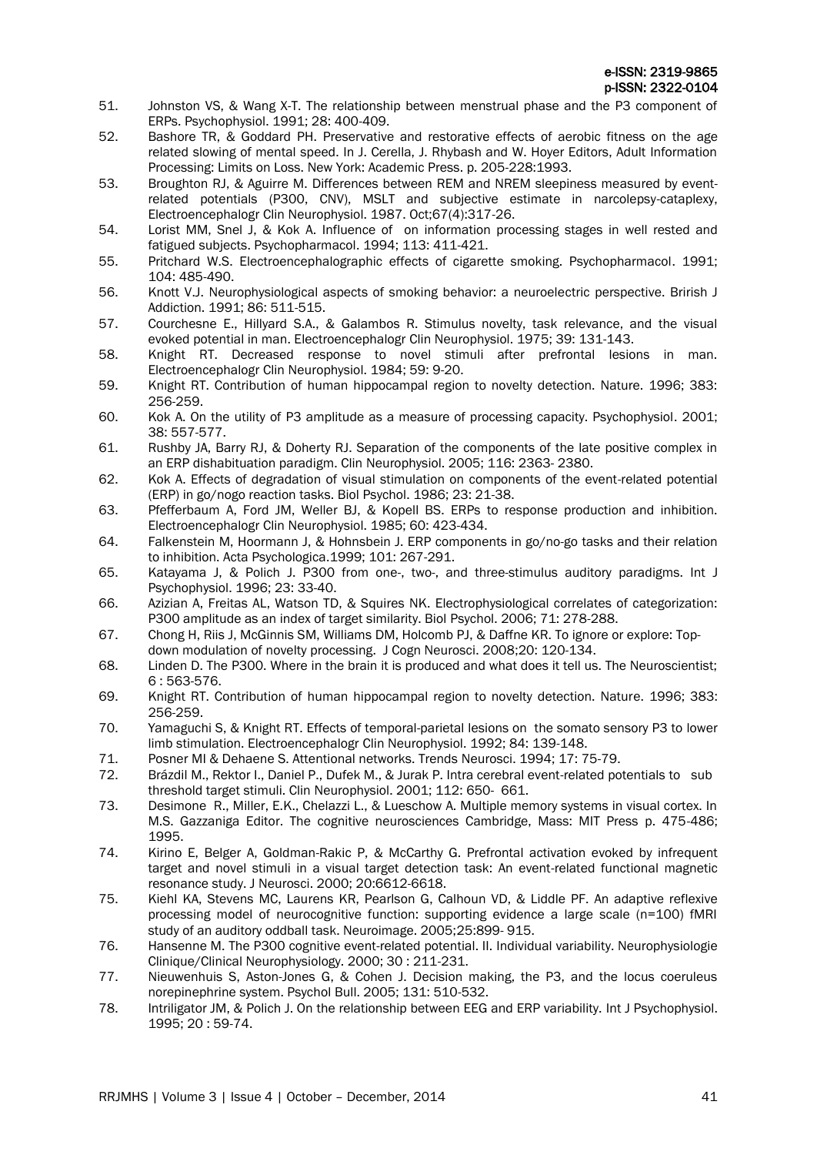- 51. Johnston VS, & Wang X-T. The relationship between menstrual phase and the P3 component of ERPs. Psychophysiol. 1991; 28: 400-409.
- 52. Bashore TR, & Goddard PH. Preservative and restorative effects of aerobic fitness on the age related slowing of mental speed. In J. Cerella, J. Rhybash and W. Hoyer Editors, Adult Information Processing: Limits on Loss. New York: Academic Press. p. 205-228:1993.
- 53. Broughton RJ, & Aguirre M. Differences between REM and NREM sleepiness measured by eventrelated potentials (P300, CNV), MSLT and subjective estimate in narcolepsy-cataplexy, Electroencephalogr Clin Neurophysiol. 1987. Oct;67(4):317-26.
- 54. Lorist MM, Snel J, & Kok A. Influence of on information processing stages in well rested and fatigued subjects. Psychopharmacol. 1994; 113: 411-421.
- 55. Pritchard W.S. Electroencephalographic effects of cigarette smoking. Psychopharmacol. 1991; 104: 485-490.
- 56. Knott V.J. Neurophysiological aspects of smoking behavior: a neuroelectric perspective. Brirish J Addiction. 1991; 86: 511-515.
- 57. Courchesne E., Hillyard S.A., & Galambos R. Stimulus novelty, task relevance, and the visual evoked potential in man. Electroencephalogr Clin Neurophysiol. 1975; 39: 131-143.
- 58. Knight RT. Decreased response to novel stimuli after prefrontal lesions in man. Electroencephalogr Clin Neurophysiol. 1984; 59: 9-20.
- 59. Knight RT. Contribution of human hippocampal region to novelty detection. Nature. 1996; 383: 256-259.
- 60. Kok A. On the utility of P3 amplitude as a measure of processing capacity. Psychophysiol. 2001; 38: 557-577.
- 61. Rushby JA, Barry RJ, & Doherty RJ. Separation of the components of the late positive complex in an ERP dishabituation paradigm. Clin Neurophysiol. 2005; 116: 2363- 2380.
- 62. Kok A. Effects of degradation of visual stimulation on components of the event-related potential (ERP) in go/nogo reaction tasks. Biol Psychol. 1986; 23: 21-38.
- 63. Pfefferbaum A, Ford JM, Weller BJ, & Kopell BS. ERPs to response production and inhibition. Electroencephalogr Clin Neurophysiol. 1985; 60: 423-434.
- 64. Falkenstein M, Hoormann J, & Hohnsbein J. ERP components in go/no-go tasks and their relation to inhibition. Acta Psychologica.1999; 101: 267-291.
- 65. Katayama J, & Polich J. P300 from one-, two-, and three-stimulus auditory paradigms. Int J Psychophysiol. 1996; 23: 33-40.
- 66. Azizian A, Freitas AL, Watson TD, & Squires NK. Electrophysiological correlates of categorization: P300 amplitude as an index of target similarity. Biol Psychol. 2006; 71: 278-288.
- 67. Chong H, Riis J, McGinnis SM, Williams DM, Holcomb PJ, & Daffne KR. To ignore or explore: Topdown modulation of novelty processing. J Cogn Neurosci. 2008;20: 120-134.
- 68. Linden D. The P300. Where in the brain it is produced and what does it tell us. The Neuroscientist; 6 : 563-576.
- 69. Knight RT. Contribution of human hippocampal region to novelty detection. Nature. 1996; 383: 256-259.
- 70. Yamaguchi S, & Knight RT. Effects of temporal-parietal lesions on the somato sensory P3 to lower limb stimulation. Electroencephalogr Clin Neurophysiol. 1992; 84: 139-148.
- 71. Posner MI & Dehaene S. Attentional networks. Trends Neurosci. 1994; 17: 75-79.
- 72. Brázdil M., Rektor I., Daniel P., Dufek M., & Jurak P. Intra cerebral event-related potentials to sub threshold target stimuli. Clin Neurophysiol. 2001; 112: 650- 661.
- 73. Desimone R., Miller, E.K., Chelazzi L., & Lueschow A. Multiple memory systems in visual cortex. In M.S. Gazzaniga Editor. The cognitive neurosciences Cambridge, Mass: MIT Press p. 475-486; 1995.
- 74. Kirino E, Belger A, Goldman-Rakic P, & McCarthy G. Prefrontal activation evoked by infrequent target and novel stimuli in a visual target detection task: An event-related functional magnetic resonance study. J Neurosci. 2000; 20:6612-6618.
- 75. Kiehl KA, Stevens MC, Laurens KR, Pearlson G, Calhoun VD, & Liddle PF. An adaptive reflexive processing model of neurocognitive function: supporting evidence a large scale (n=100) fMRI study of an auditory oddball task. Neuroimage. 2005;25:899- 915.
- 76. Hansenne M. The P300 cognitive event-related potential. II. Individual variability. Neurophysiologie Clinique/Clinical Neurophysiology. 2000; 30 : 211-231.
- 77. Nieuwenhuis S, Aston-Jones G, & Cohen J. Decision making, the P3, and the locus coeruleus norepinephrine system. Psychol Bull. 2005; 131: 510-532.
- 78. Intriligator JM, & Polich J. On the relationship between EEG and ERP variability. Int J Psychophysiol. 1995; 20 : 59-74.